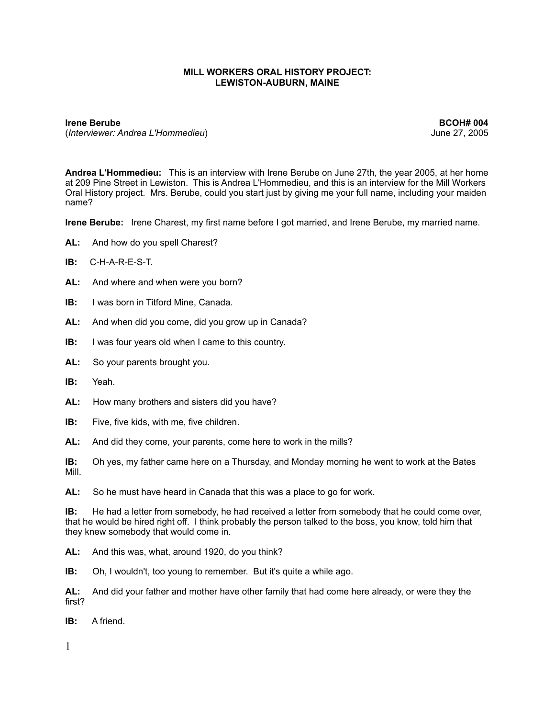## **MILL WORKERS ORAL HISTORY PROJECT: LEWISTON-AUBURN, MAINE**

**Irene Berube BCOH# 004** (*Interviewer: Andrea L'Hommedieu*) June 27, 2005

**Andrea L'Hommedieu:** This is an interview with Irene Berube on June 27th, the year 2005, at her home at 209 Pine Street in Lewiston. This is Andrea L'Hommedieu, and this is an interview for the Mill Workers Oral History project. Mrs. Berube, could you start just by giving me your full name, including your maiden name?

**Irene Berube:** Irene Charest, my first name before I got married, and Irene Berube, my married name.

- AL: And how do you spell Charest?
- **IB:** C-H-A-R-E-S-T.
- **AL:** And where and when were you born?
- **IB:** I was born in Titford Mine, Canada.
- **AL:** And when did you come, did you grow up in Canada?
- **IB:** I was four years old when I came to this country.
- **AL:** So your parents brought you.
- **IB:** Yeah.
- **AL:** How many brothers and sisters did you have?
- **IB:** Five, five kids, with me, five children.
- **AL:** And did they come, your parents, come here to work in the mills?

**IB:** Oh yes, my father came here on a Thursday, and Monday morning he went to work at the Bates Mill.

**AL:** So he must have heard in Canada that this was a place to go for work.

**IB:** He had a letter from somebody, he had received a letter from somebody that he could come over, that he would be hired right off. I think probably the person talked to the boss, you know, told him that they knew somebody that would come in.

**AL:** And this was, what, around 1920, do you think?

**IB:** Oh, I wouldn't, too young to remember. But it's quite a while ago.

**AL:** And did your father and mother have other family that had come here already, or were they the first?

**IB:** A friend.

1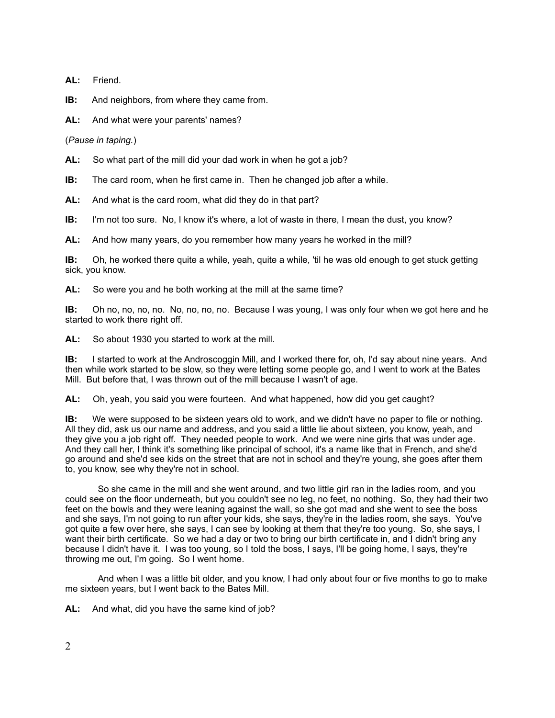**AL:** Friend.

**IB:** And neighbors, from where they came from.

**AL:** And what were your parents' names?

(*Pause in taping.*)

**AL:** So what part of the mill did your dad work in when he got a job?

**IB:** The card room, when he first came in. Then he changed job after a while.

**AL:** And what is the card room, what did they do in that part?

**IB:** I'm not too sure. No, I know it's where, a lot of waste in there, I mean the dust, you know?

**AL:** And how many years, do you remember how many years he worked in the mill?

**IB:** Oh, he worked there quite a while, yeah, quite a while, 'til he was old enough to get stuck getting sick, you know.

**AL:** So were you and he both working at the mill at the same time?

**IB:** Oh no, no, no, no. No, no, no, no. Because I was young, I was only four when we got here and he started to work there right off.

**AL:** So about 1930 you started to work at the mill.

**IB:** I started to work at the Androscoggin Mill, and I worked there for, oh, I'd say about nine years. And then while work started to be slow, so they were letting some people go, and I went to work at the Bates Mill. But before that, I was thrown out of the mill because I wasn't of age.

**AL:** Oh, yeah, you said you were fourteen. And what happened, how did you get caught?

**IB:** We were supposed to be sixteen years old to work, and we didn't have no paper to file or nothing. All they did, ask us our name and address, and you said a little lie about sixteen, you know, yeah, and they give you a job right off. They needed people to work. And we were nine girls that was under age. And they call her, I think it's something like principal of school, it's a name like that in French, and she'd go around and she'd see kids on the street that are not in school and they're young, she goes after them to, you know, see why they're not in school.

 So she came in the mill and she went around, and two little girl ran in the ladies room, and you could see on the floor underneath, but you couldn't see no leg, no feet, no nothing. So, they had their two feet on the bowls and they were leaning against the wall, so she got mad and she went to see the boss and she says, I'm not going to run after your kids, she says, they're in the ladies room, she says. You've got quite a few over here, she says, I can see by looking at them that they're too young. So, she says, I want their birth certificate. So we had a day or two to bring our birth certificate in, and I didn't bring any because I didn't have it. I was too young, so I told the boss, I says, I'll be going home, I says, they're throwing me out, I'm going. So I went home.

 And when I was a little bit older, and you know, I had only about four or five months to go to make me sixteen years, but I went back to the Bates Mill.

**AL:** And what, did you have the same kind of job?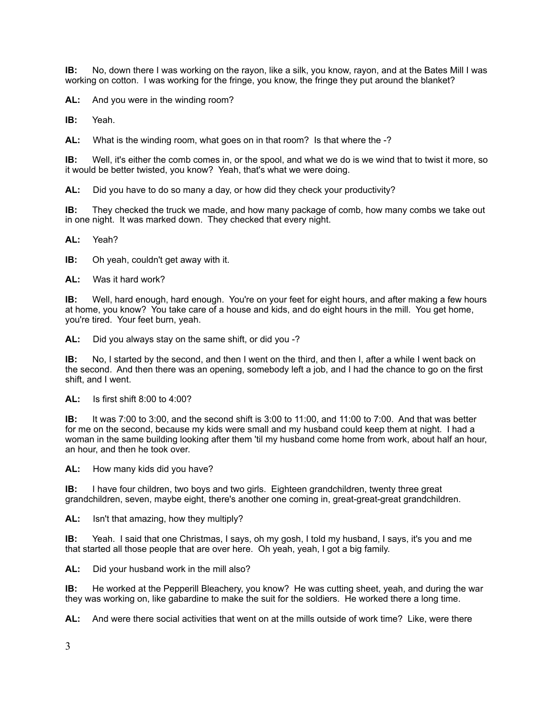**IB:** No, down there I was working on the rayon, like a silk, you know, rayon, and at the Bates Mill I was working on cotton. I was working for the fringe, you know, the fringe they put around the blanket?

**AL:** And you were in the winding room?

**IB:** Yeah.

**AL:** What is the winding room, what goes on in that room? Is that where the -?

**IB:** Well, it's either the comb comes in, or the spool, and what we do is we wind that to twist it more, so it would be better twisted, you know? Yeah, that's what we were doing.

**AL:** Did you have to do so many a day, or how did they check your productivity?

**IB:** They checked the truck we made, and how many package of comb, how many combs we take out in one night. It was marked down. They checked that every night.

**AL:** Yeah?

**IB:** Oh yeah, couldn't get away with it.

**AL:** Was it hard work?

**IB:** Well, hard enough, hard enough. You're on your feet for eight hours, and after making a few hours at home, you know? You take care of a house and kids, and do eight hours in the mill. You get home, you're tired. Your feet burn, yeah.

**AL:** Did you always stay on the same shift, or did you -?

**IB:** No, I started by the second, and then I went on the third, and then I, after a while I went back on the second. And then there was an opening, somebody left a job, and I had the chance to go on the first shift, and I went.

**AL:** Is first shift 8:00 to 4:00?

**IB:** It was 7:00 to 3:00, and the second shift is 3:00 to 11:00, and 11:00 to 7:00. And that was better for me on the second, because my kids were small and my husband could keep them at night. I had a woman in the same building looking after them 'til my husband come home from work, about half an hour, an hour, and then he took over.

**AL:** How many kids did you have?

**IB:** I have four children, two boys and two girls. Eighteen grandchildren, twenty three great grandchildren, seven, maybe eight, there's another one coming in, great-great-great grandchildren.

**AL:** Isn't that amazing, how they multiply?

**IB:** Yeah. I said that one Christmas, I says, oh my gosh, I told my husband, I says, it's you and me that started all those people that are over here. Oh yeah, yeah, I got a big family.

**AL:** Did your husband work in the mill also?

**IB:** He worked at the Pepperill Bleachery, you know? He was cutting sheet, yeah, and during the war they was working on, like gabardine to make the suit for the soldiers. He worked there a long time.

**AL:** And were there social activities that went on at the mills outside of work time? Like, were there

3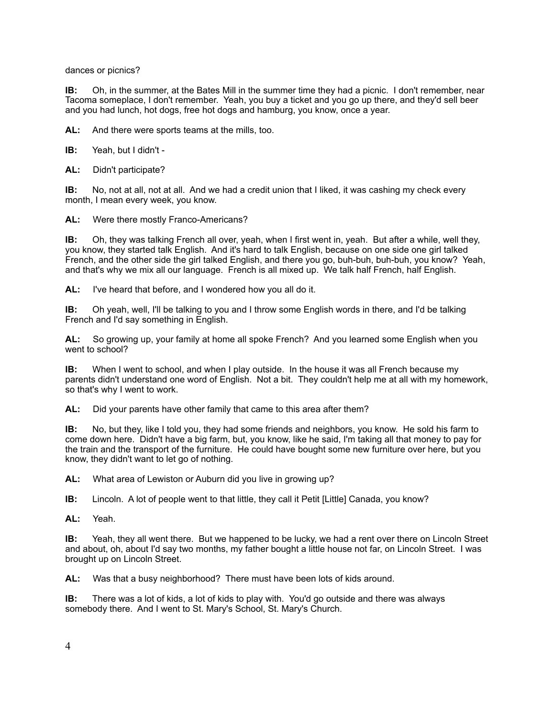dances or picnics?

**IB:** Oh, in the summer, at the Bates Mill in the summer time they had a picnic. I don't remember, near Tacoma someplace, I don't remember. Yeah, you buy a ticket and you go up there, and they'd sell beer and you had lunch, hot dogs, free hot dogs and hamburg, you know, once a year.

**AL:** And there were sports teams at the mills, too.

**IB:** Yeah, but I didn't -

**AL:** Didn't participate?

**IB:** No, not at all, not at all. And we had a credit union that I liked, it was cashing my check every month, I mean every week, you know.

**AL:** Were there mostly Franco-Americans?

**IB:** Oh, they was talking French all over, yeah, when I first went in, yeah. But after a while, well they, you know, they started talk English. And it's hard to talk English, because on one side one girl talked French, and the other side the girl talked English, and there you go, buh-buh, buh-buh, you know? Yeah, and that's why we mix all our language. French is all mixed up. We talk half French, half English.

**AL:** I've heard that before, and I wondered how you all do it.

**IB:** Oh yeah, well, I'll be talking to you and I throw some English words in there, and I'd be talking French and I'd say something in English.

**AL:** So growing up, your family at home all spoke French? And you learned some English when you went to school?

**IB:** When I went to school, and when I play outside. In the house it was all French because my parents didn't understand one word of English. Not a bit. They couldn't help me at all with my homework, so that's why I went to work.

**AL:** Did your parents have other family that came to this area after them?

**IB:** No, but they, like I told you, they had some friends and neighbors, you know. He sold his farm to come down here. Didn't have a big farm, but, you know, like he said, I'm taking all that money to pay for the train and the transport of the furniture. He could have bought some new furniture over here, but you know, they didn't want to let go of nothing.

**AL:** What area of Lewiston or Auburn did you live in growing up?

**IB:** Lincoln. A lot of people went to that little, they call it Petit [Little] Canada, you know?

**AL:** Yeah.

**IB:** Yeah, they all went there. But we happened to be lucky, we had a rent over there on Lincoln Street and about, oh, about I'd say two months, my father bought a little house not far, on Lincoln Street. I was brought up on Lincoln Street.

**AL:** Was that a busy neighborhood? There must have been lots of kids around.

**IB:** There was a lot of kids, a lot of kids to play with. You'd go outside and there was always somebody there. And I went to St. Mary's School, St. Mary's Church.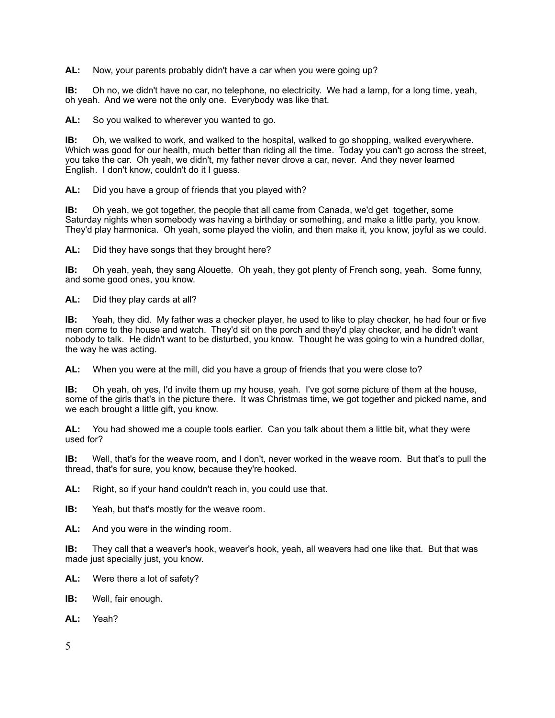**AL:** Now, your parents probably didn't have a car when you were going up?

**IB:** Oh no, we didn't have no car, no telephone, no electricity. We had a lamp, for a long time, yeah, oh yeah. And we were not the only one. Everybody was like that.

**AL:** So you walked to wherever you wanted to go.

**IB:** Oh, we walked to work, and walked to the hospital, walked to go shopping, walked everywhere. Which was good for our health, much better than riding all the time. Today you can't go across the street, you take the car. Oh yeah, we didn't, my father never drove a car, never. And they never learned English. I don't know, couldn't do it I guess.

**AL:** Did you have a group of friends that you played with?

**IB:** Oh yeah, we got together, the people that all came from Canada, we'd get together, some Saturday nights when somebody was having a birthday or something, and make a little party, you know. They'd play harmonica. Oh yeah, some played the violin, and then make it, you know, joyful as we could.

**AL:** Did they have songs that they brought here?

**IB:** Oh yeah, yeah, they sang Alouette. Oh yeah, they got plenty of French song, yeah. Some funny, and some good ones, you know.

**AL:** Did they play cards at all?

**IB:** Yeah, they did. My father was a checker player, he used to like to play checker, he had four or five men come to the house and watch. They'd sit on the porch and they'd play checker, and he didn't want nobody to talk. He didn't want to be disturbed, you know. Thought he was going to win a hundred dollar, the way he was acting.

**AL:** When you were at the mill, did you have a group of friends that you were close to?

**IB:** Oh yeah, oh yes, I'd invite them up my house, yeah. I've got some picture of them at the house, some of the girls that's in the picture there. It was Christmas time, we got together and picked name, and we each brought a little gift, you know.

**AL:** You had showed me a couple tools earlier. Can you talk about them a little bit, what they were used for?

**IB:** Well, that's for the weave room, and I don't, never worked in the weave room. But that's to pull the thread, that's for sure, you know, because they're hooked.

**AL:** Right, so if your hand couldn't reach in, you could use that.

**IB:** Yeah, but that's mostly for the weave room.

**AL:** And you were in the winding room.

**IB:** They call that a weaver's hook, weaver's hook, yeah, all weavers had one like that. But that was made just specially just, you know.

- **AL:** Were there a lot of safety?
- **IB:** Well, fair enough.
- **AL:** Yeah?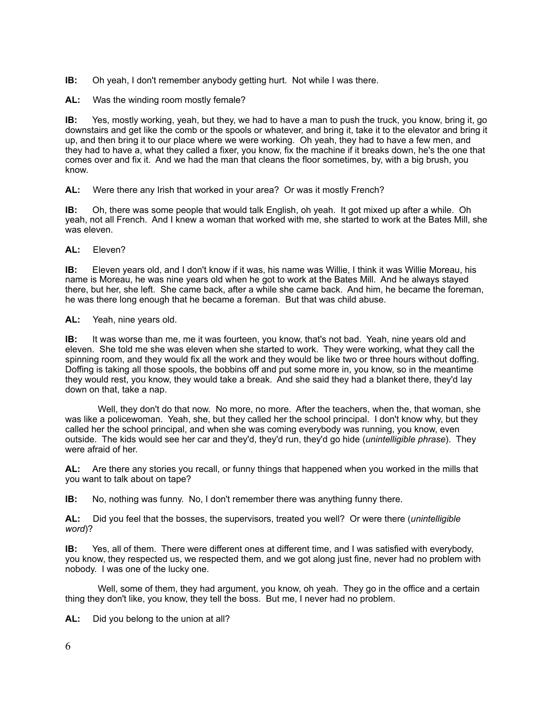**IB:** Oh yeah, I don't remember anybody getting hurt. Not while I was there.

AL: Was the winding room mostly female?

**IB:** Yes, mostly working, yeah, but they, we had to have a man to push the truck, you know, bring it, go downstairs and get like the comb or the spools or whatever, and bring it, take it to the elevator and bring it up, and then bring it to our place where we were working. Oh yeah, they had to have a few men, and they had to have a, what they called a fixer, you know, fix the machine if it breaks down, he's the one that comes over and fix it. And we had the man that cleans the floor sometimes, by, with a big brush, you know.

**AL:** Were there any Irish that worked in your area? Or was it mostly French?

**IB:** Oh, there was some people that would talk English, oh yeah. It got mixed up after a while. Oh yeah, not all French. And I knew a woman that worked with me, she started to work at the Bates Mill, she was eleven.

**AL:** Eleven?

**IB:** Eleven years old, and I don't know if it was, his name was Willie, I think it was Willie Moreau, his name is Moreau, he was nine years old when he got to work at the Bates Mill. And he always stayed there, but her, she left. She came back, after a while she came back. And him, he became the foreman, he was there long enough that he became a foreman. But that was child abuse.

**AL:** Yeah, nine years old.

**IB:** It was worse than me, me it was fourteen, you know, that's not bad. Yeah, nine years old and eleven. She told me she was eleven when she started to work. They were working, what they call the spinning room, and they would fix all the work and they would be like two or three hours without doffing. Doffing is taking all those spools, the bobbins off and put some more in, you know, so in the meantime they would rest, you know, they would take a break. And she said they had a blanket there, they'd lay down on that, take a nap.

 Well, they don't do that now. No more, no more. After the teachers, when the, that woman, she was like a policewoman. Yeah, she, but they called her the school principal. I don't know why, but they called her the school principal, and when she was coming everybody was running, you know, even outside. The kids would see her car and they'd, they'd run, they'd go hide (*unintelligible phrase*). They were afraid of her.

**AL:** Are there any stories you recall, or funny things that happened when you worked in the mills that you want to talk about on tape?

**IB:** No, nothing was funny. No, I don't remember there was anything funny there.

**AL:** Did you feel that the bosses, the supervisors, treated you well? Or were there (*unintelligible word*)?

**IB:** Yes, all of them. There were different ones at different time, and I was satisfied with everybody, you know, they respected us, we respected them, and we got along just fine, never had no problem with nobody. I was one of the lucky one.

 Well, some of them, they had argument, you know, oh yeah. They go in the office and a certain thing they don't like, you know, they tell the boss. But me, I never had no problem.

**AL:** Did you belong to the union at all?